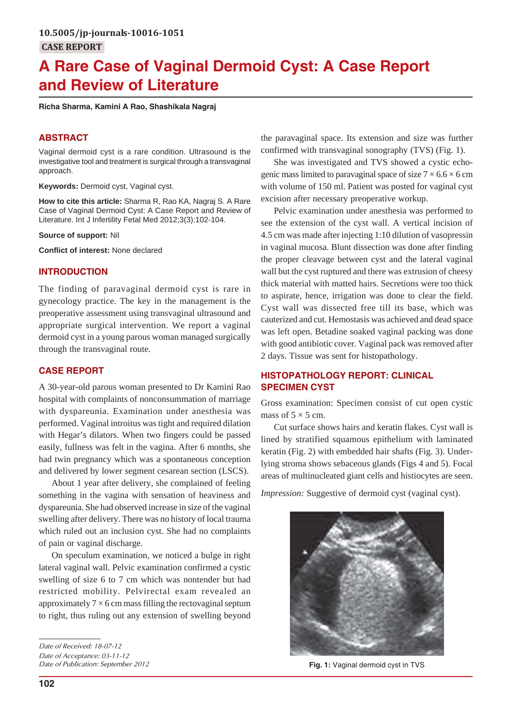# **A Rare Case of Vaginal Dermoid Cyst: A Case Report and Review of Literature**

**Richa Sharma, Kamini A Rao, Shashikala Nagraj**

## **ABSTRACT**

Vaginal dermoid cyst is a rare condition. Ultrasound is the investigative tool and treatment is surgical through a transvaginal approach.

**Keywords:** Dermoid cyst, Vaginal cyst.

**How to cite this article:** Sharma R, Rao KA, Nagraj S. A Rare Case of Vaginal Dermoid Cyst: A Case Report and Review of Literature. Int J Infertility Fetal Med 2012;3(3):102-104.

#### **Source of support:** Nil

**Conflict of interest:** None declared

## **INTRODUCTION**

The finding of paravaginal dermoid cyst is rare in gynecology practice. The key in the management is the preoperative assessment using transvaginal ultrasound and appropriate surgical intervention. We report a vaginal dermoid cyst in a young parous woman managed surgically through the transvaginal route.

## **CASE REPORT**

A 30-year-old parous woman presented to Dr Kamini Rao hospital with complaints of nonconsummation of marriage with dyspareunia. Examination under anesthesia was performed. Vaginal introitus was tight and required dilation with Hegar's dilators. When two fingers could be passed easily, fullness was felt in the vagina. After 6 months, she had twin pregnancy which was a spontaneous conception and delivered by lower segment cesarean section (LSCS).

About 1 year after delivery, she complained of feeling something in the vagina with sensation of heaviness and dyspareunia. She had observed increase in size of the vaginal swelling after delivery. There was no history of local trauma which ruled out an inclusion cyst. She had no complaints of pain or vaginal discharge.

On speculum examination, we noticed a bulge in right lateral vaginal wall. Pelvic examination confirmed a cystic swelling of size 6 to 7 cm which was nontender but had restricted mobility. Pelvirectal exam revealed an approximately  $7 \times 6$  cm mass filling the rectovaginal septum to right, thus ruling out any extension of swelling beyond

*Date of Publication: September 2012*

the paravaginal space. Its extension and size was further confirmed with transvaginal sonography (TVS) (Fig. 1).

She was investigated and TVS showed a cystic echogenic mass limited to paravaginal space of size  $7 \times 6.6 \times 6$  cm with volume of 150 ml. Patient was posted for vaginal cyst excision after necessary preoperative workup.

Pelvic examination under anesthesia was performed to see the extension of the cyst wall. A vertical incision of 4.5 cm was made after injecting 1:10 dilution of vasopressin in vaginal mucosa. Blunt dissection was done after finding the proper cleavage between cyst and the lateral vaginal wall but the cyst ruptured and there was extrusion of cheesy thick material with matted hairs. Secretions were too thick to aspirate, hence, irrigation was done to clear the field. Cyst wall was dissected free till its base, which was cauterized and cut. Hemostasis was achieved and dead space was left open. Betadine soaked vaginal packing was done with good antibiotic cover. Vaginal pack was removed after 2 days. Tissue was sent for histopathology.

## **HISTOPATHOLOGY REPORT: CLINICAL SPECIMEN CYST**

Gross examination: Specimen consist of cut open cystic mass of  $5 \times 5$  cm.

Cut surface shows hairs and keratin flakes. Cyst wall is lined by stratified squamous epithelium with laminated keratin (Fig. 2) with embedded hair shafts (Fig. 3). Underlying stroma shows sebaceous glands (Figs 4 and 5). Focal areas of multinucleated giant cells and histiocytes are seen.

*Impression:* Suggestive of dermoid cyst (vaginal cyst).



**Fig. 1:** Vaginal dermoid cyst in TVS

*Date of Received: 18-07-12 Date of Acceptance: 03-11-12*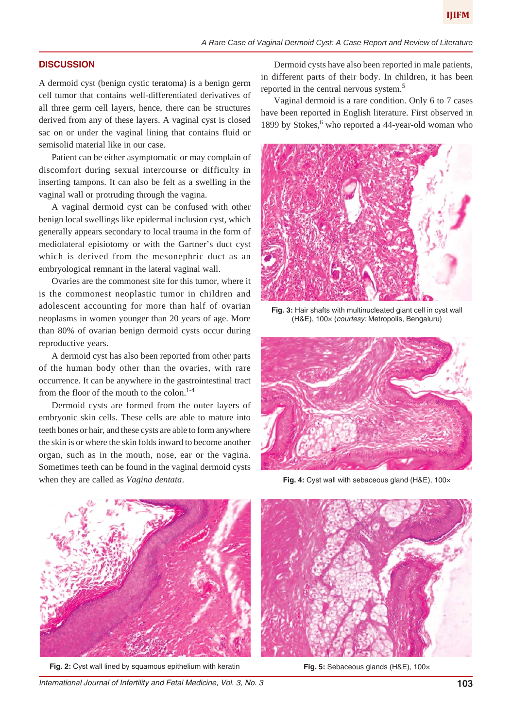#### **DISCUSSION**

A dermoid cyst (benign cystic teratoma) is a benign germ cell tumor that contains well-differentiated derivatives of all three germ cell layers, hence, there can be structures derived from any of these layers. A vaginal cyst is closed sac on or under the vaginal lining that contains fluid or semisolid material like in our case.

Patient can be either asymptomatic or may complain of discomfort during sexual intercourse or difficulty in inserting tampons. It can also be felt as a swelling in the vaginal wall or protruding through the vagina.

A vaginal dermoid cyst can be confused with other benign local swellings like epidermal inclusion cyst, which generally appears secondary to local trauma in the form of mediolateral episiotomy or with the Gartner's duct cyst which is derived from the mesonephric duct as an embryological remnant in the lateral vaginal wall.

Ovaries are the commonest site for this tumor, where it is the commonest neoplastic tumor in children and adolescent accounting for more than half of ovarian neoplasms in women younger than 20 years of age. More than 80% of ovarian benign dermoid cysts occur during reproductive years.

A dermoid cyst has also been reported from other parts of the human body other than the ovaries, with rare occurrence. It can be anywhere in the gastrointestinal tract from the floor of the mouth to the colon. $1-4$ 

Dermoid cysts are formed from the outer layers of embryonic skin cells. These cells are able to mature into teeth bones or hair, and these cysts are able to form anywhere the skin is or where the skin folds inward to become another organ, such as in the mouth, nose, ear or the vagina. Sometimes teeth can be found in the vaginal dermoid cysts when they are called as *Vagina dentata*.

Dermoid cysts have also been reported in male patients, in different parts of their body. In children, it has been reported in the central nervous system.<sup>5</sup>

Vaginal dermoid is a rare condition. Only 6 to 7 cases have been reported in English literature. First observed in 1899 by Stokes,<sup>6</sup> who reported a 44-year-old woman who



**Fig. 3:** Hair shafts with multinucleated giant cell in cyst wall (H&E), 100× (*courtesy:* Metropolis, Bengaluru)



**Fig. 4:** Cyst wall with sebaceous gland (H&E), 100×



**Fig. 2:** Cyst wall lined by squamous epithelium with keratin



**Fig. 5:** Sebaceous glands (H&E), 100×

*International Journal of Infertility and Fetal Medicine, Vol. 3, No. 3* **103**